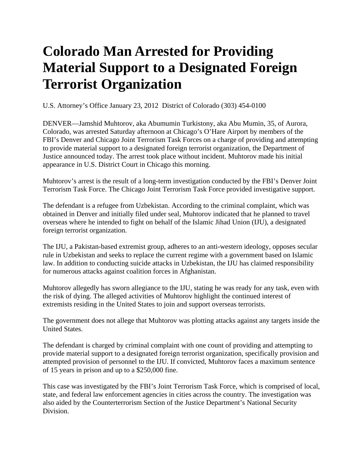## **Colorado Man Arrested for Providing Material Support to a Designated Foreign Terrorist Organization**

U.S. Attorney's Office January 23, 2012 District of Colorado (303) 454-0100

DENVER—Jamshid Muhtorov, aka Abumumin Turkistony, aka Abu Mumin, 35, of Aurora, Colorado, was arrested Saturday afternoon at Chicago's O'Hare Airport by members of the FBI's Denver and Chicago Joint Terrorism Task Forces on a charge of providing and attempting to provide material support to a designated foreign terrorist organization, the Department of Justice announced today. The arrest took place without incident. Muhtorov made his initial appearance in U.S. District Court in Chicago this morning.

Muhtorov's arrest is the result of a long-term investigation conducted by the FBI's Denver Joint Terrorism Task Force. The Chicago Joint Terrorism Task Force provided investigative support.

The defendant is a refugee from Uzbekistan. According to the criminal complaint, which was obtained in Denver and initially filed under seal, Muhtorov indicated that he planned to travel overseas where he intended to fight on behalf of the Islamic Jihad Union (IJU), a designated foreign terrorist organization.

The IJU, a Pakistan-based extremist group, adheres to an anti-western ideology, opposes secular rule in Uzbekistan and seeks to replace the current regime with a government based on Islamic law. In addition to conducting suicide attacks in Uzbekistan, the IJU has claimed responsibility for numerous attacks against coalition forces in Afghanistan.

Muhtorov allegedly has sworn allegiance to the IJU, stating he was ready for any task, even with the risk of dying. The alleged activities of Muhtorov highlight the continued interest of extremists residing in the United States to join and support overseas terrorists.

The government does not allege that Muhtorov was plotting attacks against any targets inside the United States.

The defendant is charged by criminal complaint with one count of providing and attempting to provide material support to a designated foreign terrorist organization, specifically provision and attempted provision of personnel to the IJU. If convicted, Muhtorov faces a maximum sentence of 15 years in prison and up to a \$250,000 fine.

This case was investigated by the FBI's Joint Terrorism Task Force, which is comprised of local, state, and federal law enforcement agencies in cities across the country. The investigation was also aided by the Counterterrorism Section of the Justice Department's National Security Division.